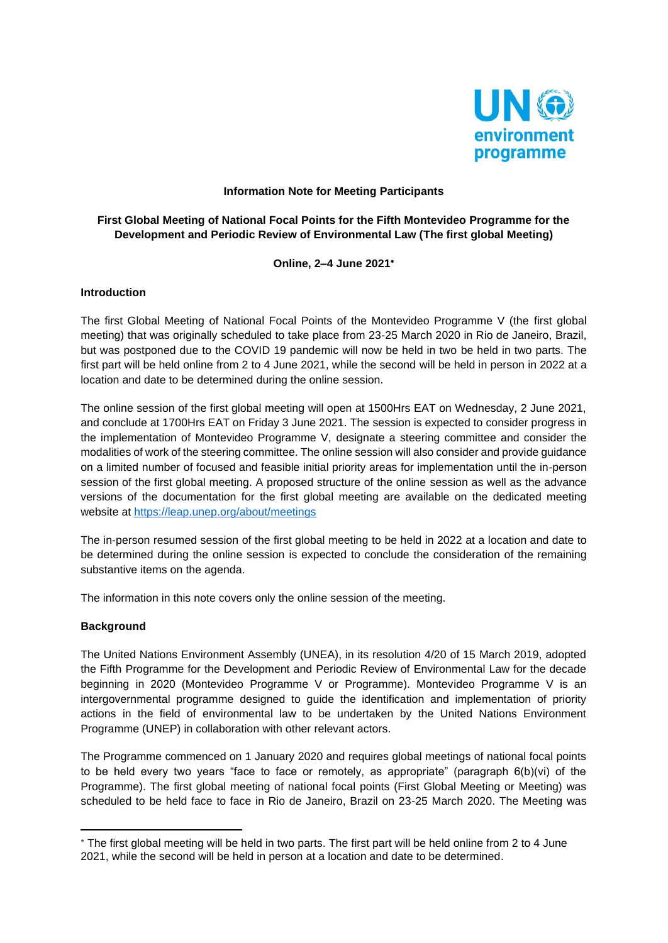

#### **Information Note for Meeting Participants**

## **First Global Meeting of National Focal Points for the Fifth Montevideo Programme for the Development and Periodic Review of Environmental Law (The first global Meeting)**

**Online, 2–4 June 2021**

#### **Introduction**

The first Global Meeting of National Focal Points of the Montevideo Programme V (the first global meeting) that was originally scheduled to take place from 23-25 March 2020 in Rio de Janeiro, Brazil, but was postponed due to the COVID 19 pandemic will now be held in two be held in two parts. The first part will be held online from 2 to 4 June 2021, while the second will be held in person in 2022 at a location and date to be determined during the online session.

The online session of the first global meeting will open at 1500Hrs EAT on Wednesday, 2 June 2021, and conclude at 1700Hrs EAT on Friday 3 June 2021. The session is expected to consider progress in the implementation of Montevideo Programme V, designate a steering committee and consider the modalities of work of the steering committee. The online session will also consider and provide guidance on a limited number of focused and feasible initial priority areas for implementation until the in-person session of the first global meeting. A proposed structure of the online session as well as the advance versions of the documentation for the first global meeting are available on the dedicated meeting website at<https://leap.unep.org/about/meetings>

The in-person resumed session of the first global meeting to be held in 2022 at a location and date to be determined during the online session is expected to conclude the consideration of the remaining substantive items on the agenda.

The information in this note covers only the online session of the meeting.

### **Background**

The United Nations Environment Assembly (UNEA), in its resolution 4/20 of 15 March 2019, adopted the Fifth Programme for the Development and Periodic Review of Environmental Law for the decade beginning in 2020 (Montevideo Programme V or Programme). Montevideo Programme V is an intergovernmental programme designed to guide the identification and implementation of priority actions in the field of environmental law to be undertaken by the United Nations Environment Programme (UNEP) in collaboration with other relevant actors.

The Programme commenced on 1 January 2020 and requires global meetings of national focal points to be held every two years "face to face or remotely, as appropriate" (paragraph 6(b)(vi) of the Programme). The first global meeting of national focal points (First Global Meeting or Meeting) was scheduled to be held face to face in Rio de Janeiro, Brazil on 23-25 March 2020. The Meeting was

The first global meeting will be held in two parts. The first part will be held online from 2 to 4 June 2021, while the second will be held in person at a location and date to be determined.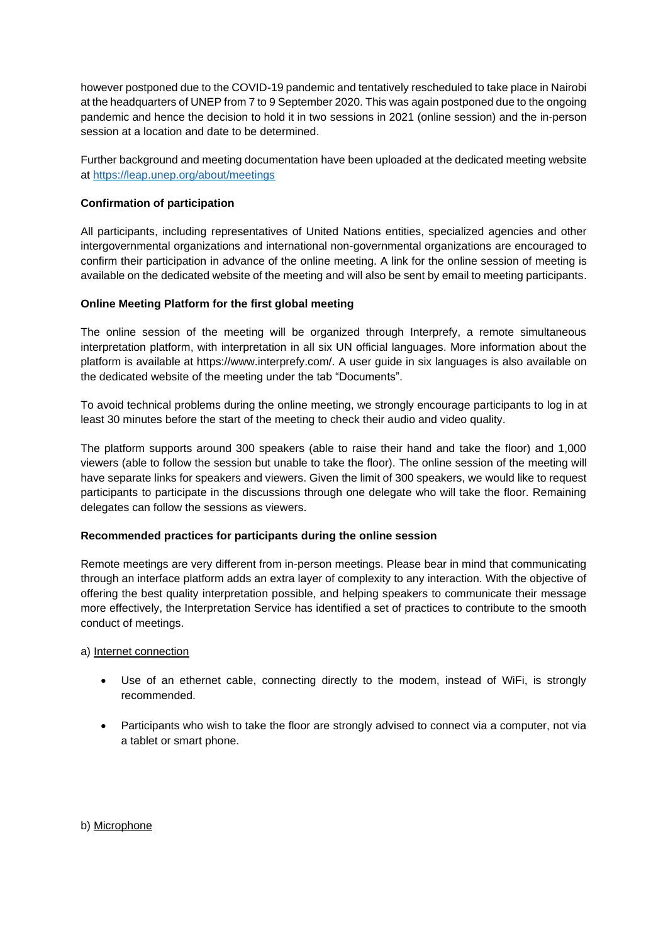however postponed due to the COVID-19 pandemic and tentatively rescheduled to take place in Nairobi at the headquarters of UNEP from 7 to 9 September 2020. This was again postponed due to the ongoing pandemic and hence the decision to hold it in two sessions in 2021 (online session) and the in-person session at a location and date to be determined.

Further background and meeting documentation have been uploaded at the dedicated meeting website at<https://leap.unep.org/about/meetings>

### **Confirmation of participation**

All participants, including representatives of United Nations entities, specialized agencies and other intergovernmental organizations and international non-governmental organizations are encouraged to confirm their participation in advance of the online meeting. A link for the online session of meeting is available on the dedicated website of the meeting and will also be sent by email to meeting participants.

# **Online Meeting Platform for the first global meeting**

The online session of the meeting will be organized through Interprefy, a remote simultaneous interpretation platform, with interpretation in all six UN official languages. More information about the platform is available at https://www.interprefy.com/. A user guide in six languages is also available on the dedicated website of the meeting under the tab "Documents".

To avoid technical problems during the online meeting, we strongly encourage participants to log in at least 30 minutes before the start of the meeting to check their audio and video quality.

The platform supports around 300 speakers (able to raise their hand and take the floor) and 1,000 viewers (able to follow the session but unable to take the floor). The online session of the meeting will have separate links for speakers and viewers. Given the limit of 300 speakers, we would like to request participants to participate in the discussions through one delegate who will take the floor. Remaining delegates can follow the sessions as viewers.

### **Recommended practices for participants during the online session**

Remote meetings are very different from in-person meetings. Please bear in mind that communicating through an interface platform adds an extra layer of complexity to any interaction. With the objective of offering the best quality interpretation possible, and helping speakers to communicate their message more effectively, the Interpretation Service has identified a set of practices to contribute to the smooth conduct of meetings.

### a) Internet connection

- Use of an ethernet cable, connecting directly to the modem, instead of WiFi, is strongly recommended.
- Participants who wish to take the floor are strongly advised to connect via a computer, not via a tablet or smart phone.

b) Microphone